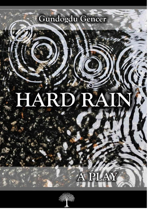## Gundogdu Gencer

**H A R D R A I N A P L A Y b y G ü n G E N C E R**

#### AR 34 42 R  $\boldsymbol{\vartriangle}$



PLAY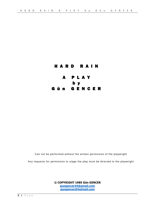### H A R D R A I N A P L A Y b y

Gün GENCER

Can not be performed without the written permission of the playwright

Any requests for permission to stage the play must be directed to the playwright

**© COPYRIGHT 1985 Gün GENCER [gungencer44@gmail.com](mailto:gungencer44@gmail.com) [gungencer@hotmail.com](mailto:gungencer@hotmail.com)**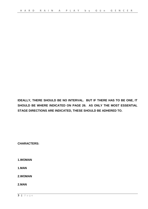**IDEALLY, THERE SHOULD BE NO INTERVAL. BUT IF THERE HAS TO BE ONE, IT SHOULD BE WHERE INDICATED ON PAGE 26. AS ONLY THE MOST ESSENTIAL STAGE DIRECTIONS ARE INDICATED, THESE SHOULD BE ADHERED TO.**

**CHARACTERS:**

**1.WOMAN**

**1.MAN**

**2.WOMAN**

**2.MAN**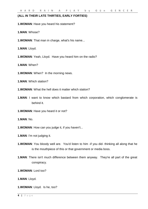#### **(ALL IN THEIR LATE THIRTIES, EARLY FORTIES)**

**1.WOMAN**: Have you heard his statement?

**1.MAN**: Whose?

**1.WOMAN**: That man in charge, what's his name...

**1.MAN**: Lloyd.

**1.WOMAN**: Yeah, Lloyd. Have you heard him on the radio?

**1.MAN**: When?

**1.WOMAN**: When? In the morning news.

**1.MAN**: Which station?

**1.WOMAN**: What the hell does it matter which station?

**1.MAN**: I want to know which bastard from which corporation, which conglomerate is behind it.

**1.WOMAN**: Have you heard it or not?

**1.MAN**: No.

**1.WOMAN**: How can you judge it, if you haven't...

**1.MAN**: I'm not judging it.

- **1.WOMAN**: You bloody well are. You'd listen to him -if you did- thinking all along that he is the mouthpiece of this or that government or media boss.
- **1.MAN**: There isn't much difference between them anyway. They're all part of the great conspiracy.

**1.WOMAN**: Lord too?

**1.MAN**: Lloyd.

**1.WOMAN**: Lloyd. Is he, too?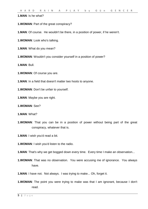**1.MAN**: Is he what?

**1.WOMAN**: Part of the great conspiracy?

**1.MAN**: Of course. He wouldn't be there, in a position of power, if he weren't.

**1.WOMAN**: Look who's talking.

**1.MAN**: What do you mean?

**1.WOMAN**: Wouldn't you consider yourself in a position of power?

**1.MAN**: Bull.

**1.WOMAN**: Of course you are.

**1.MAN**: In a field that doesn't matter two hoots to anyone.

**1.WOMAN**: Don't be unfair to yourself.

**1.MAN**: Maybe you are right.

**1.WOMAN**: See?

**1.MAN**: What?

**1.WOMAN**: That you can be in a position of power without being part of the great conspiracy, whatever that is.

**1.MAN**: I wish you'd read a bit.

**1.WOMAN**: I wish you'd listen to the radio.

**1.MAN**: That's why we get bogged down every time. Every time I make an observation...

**1.WOMAN**: That was no observation. You were accusing me of ignorance. You always have.

**1.MAN**: I have not. Not always. I was trying to make... Oh, forget it.

**1.WOMAN**: The point you were trying to make was that I am ignorant, because I don't read.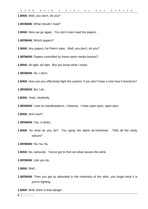**1.MAN**: Well, you don't, do you?

**1.WOMAN**: What should I read?

**1.MAN**: Here we go again. You don't even read the papers.

**1.WOMAN**: Which papers?

**1.MAN**: Any papers, for Pete's sake. Well, you don't, do you?

**1.WOMAN**: Papers controlled by those same media bosses?

**1.MAN**: All right, all right. But you know what I mean.

**1.WOMAN**: No, I don't.

**1.MAN**: How can you effectively fight the system, if you don't have a clue how it functions?

**1.WOMAN**: But I do.

**1.MAN**: Yeah, intuitively.

**1.WOMAN**: I see its manifestations, I observe. I have open eyes, open ears.

**1.MAN**: And nose?

**1.WOMAN**: Yes, it stinks.

**1.MAN**: So what do you do? You spray the latest air-freshener. "Kills all the nasty odours!"

**1.WOMAN**: Ha, ha, ha.

**1.MAN**: No, seriously. You've got to find out what causes the stink.

**1.WOMAN**: Like you do.

**1.MAN**: Well...

**1.WOMAN:** Then you get so absorbed in the chemistry of the stink, you forget what it is you're fighting.

**1.MAN**: Well, there is that danger.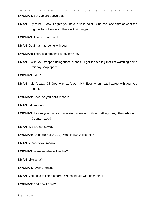**1.WOMAN**: But *you* are above that.

- **1.MAN**: I try to be. Look, I agree you have a valid point. One can lose sight of what the fight is for, ultimately. There is that danger.
- **1.WOMAN**: That is what I said.
- **1.MAN**: God! I am agreeing with you.
- **1.WOMAN**: There is a first time for everything.
- **1.MAN**: I wish you stopped using those clichés. I get the feeling that I'm watching some midday soap opera.
- **1.WOMAN**: I don't.
- **1.MAN**: I didn't say... Oh God, why can't we talk? Even when I say I agree with you, you fight it.
- **1.WOMAN**: Because you don't mean it.
- **1.MAN**: I do mean it.
- **1.WOMAN:** I know your tactics. You start agreeing with something I say, then whooom! Counterattack!
- **1.MAN**: We are not at war.
- **1.WOMAN**: Aren't we? **(PAUSE)** Was it always like this?
- **1.MAN**: What do you mean?
- **1.WOMAN**: Were we always like this?
- **1.MAN**: Like what?
- **1.WOMAN**: Always fighting.
- **1.MAN**: You used to listen before. We could talk with each other.
- **1.WOMAN**: And now I don't?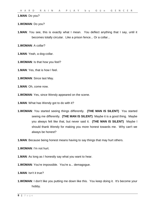#### **1.MAN**: Do you?

#### **1.WOMAN**: Do you?

- **1.MAN**: You see, this is exactly what I mean. You deflect anything that I say, until it becomes totally circular. Like a prison fence... Or a collar...
- **1.WOMAN**: A collar?
- **1.MAN**: Yeah, a dog-collar.
- **1.WOMAN**: Is that how you feel?
- **1.MAN**: Yes, that is how I feel.
- **1.WOMAN**: Since last May.
- **1.MAN**: Oh, come now.
- **1.WOMAN**: Yes, since Wendy appeared on the scene.
- **1.MAN**: What has Wendy got to do with it?
- **1.WOMAN**: You started seeing things differently. **(THE MAN IS SILENT)** You started seeing me differently. **(THE MAN IS SILENT)** Maybe it is a good thing. Maybe you always felt like that, but never said it. **(THE MAN IS SILENT)** Maybe I should thank Wendy for making you more honest towards me. Why can't we always be honest?
- **1.MAN**: Because being honest means having to say things that may hurt others.
- **1.WOMAN**: I'm not hurt.
- **1.MAN**: As long as I honestly say what you want to hear.
- **1.WOMAN**: You're impossible. You're a... demagogue.
- **1.MAN**: Isn't it true?
- **1.WOMAN**: I don't like you putting me down like this. You keep doing it. It's become your hobby.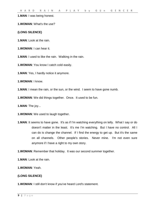**1.MAN**: I was being honest.

**1.WOMAN**: What's the use?

**(LONG SILENCE)**

**1.MAN**: Look at the rain.

**1.WOMAN**: I can hear it.

**1.MAN**: I used to like the rain. Walking in the rain.

**1.WOMAN**: You know I catch cold easily.

**1.MAN**: Yes, I hardly notice it anymore.

**1.WOMAN**: I know.

**1.MAN**: I mean the rain, or the sun, or the wind. I seem to have gone numb.

**1.WOMAN**: We did things together. Once. It used to be fun.

**1.MAN**: The joy...

**1.WOMAN**: We used to laugh together.

**1.MAN:** It seems to have gone. It's as if I'm watching everything on telly. What I say or do doesn't matter in the least. It's me I'm watching. But I have no control. All I can do is change the channel. If I find the energy to get up. But it's the same on all channels. Other people's stories. Never mine. I'm not even sure anymore if I have a right to my own story.

**1.WOMAN**: Remember that holiday. It was our second summer together.

**1.MAN**: Look at the rain.

**1.WOMAN**: Yeah.

#### **(LONG SILENCE)**

**1.WOMAN**: I still don't know if you've heard Lord's statement.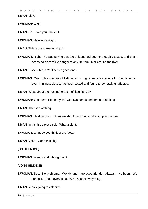**1.MAN**: Lloyd.

**1.WOMAN**: Well?

**1.MAN**: No. I told you I haven't.

**1.WOMAN**: He was saying...

**1.MAN**: This is the manager, right?

**1.WOMAN**: Right. He was saying that the effluent had been thoroughly tested, and that it poses no discernible danger to any life form in or around the river.

**1.MAN**: Discernible, eh? That's a good one.

**1.WOMAN**: Yes. This species of fish, which is highly sensitive to any form of radiation, even in minute doses, has been tested and found to be totally unaffected.

**1.MAN**: What about the next generation of little fishies?

**1.WOMAN**: You mean little baby fish with two heads and that sort of thing.

**1.MAN**: That sort of thing.

**1.WOMAN**: He didn't say. I think we should ask him to take a dip in the river.

**1.MAN**: In his three piece suit. What a sight.

**1.WOMAN**: What do you think of the idea?

**1.MAN**: Yeah. Good thinking.

#### **(BOTH LAUGH)**

**1.WOMAN**: Wendy and I thought of it.

#### **(LONG SILENCE)**

**1.WOMAN**: See. No problems. Wendy and I are good friends. Always have been. We can talk. About everything. Well, almost everything.

**1.MAN**: Who's going to ask him?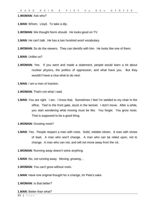#### **1.WOMAN**: Ask who?

- **1.MAN**: Whom. Lloyd. To take a dip.
- **1.WOMAN**: We thought Norm should. He looks good on TV.
- **1.MAN**: He can't talk. He has a two hundred word vocabulary.
- **1.WOMAN**: So do the viewers. They can identify with him. He looks like one of them.

**1.MAN**: Unlike us?

**1.WOMAN:** Yes. If you went and made a statement, people would learn a lot about nuclear physics, the politics of oppression, and what have you. But they wouldn't have a clue what to do next.

**1.MAN**: I am a man of inaction.

**1.WOMAN**: That's not what I said.

**1.MAN**: You are right. I am. I know that. Sometimes I feel I'm welded to my chair in the office. Tied to the front gate, stuck in the kennel. I don't move. After a while, you start wondering what moving must be like. You forget. You grow roots. That is supposed to be a good thing.

**1.WOMAN**: Growing roots?

- **1.MAN**: Yes. People respect a man with roots. Solid, reliable citizen. A man with shoes of lead. A man who won't change. A man who can be relied upon, not to change. A man who can not, and will not move away from the rot.
- **1.WOMAN**: Running away doesn't solve anything.
- **1.MAN**: No, not running away. Moving, growing...
- **1.WOMAN**: You can't grow without roots.
- **1.MAN**: Have one original thought for a change, for Pete's sake.

**1.WOMAN**: Is that better?

#### **1.MAN**: Better than what?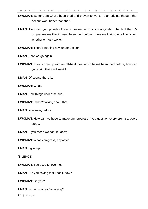**1.WOMAN**: Better than what's been tried and proven to work. Is an original thought that doesn't work better than that?

- **1.MAN**: How can you possibly know it doesn't work, if it's original? The fact that it's original means that it hasn't been tried before. It means that no one knows yet, whether or not it works.
- **1.WOMAN**: There's nothing new under the sun.
- **1.MAN**: Here we go again.
- **1.WOMAN**: If you come up with an off-beat idea which hasn't been tried before, how can you claim that it will work?
- **1.MAN**: Of course there is.
- **1.WOMAN**: What?
- **1.MAN**: New things under the sun.
- **1.WOMAN**: I wasn't talking about that.
- **1.MAN**: You were, before.
- **1.WOMAN**: How can we hope to make any progress if you question every premise, every step...
- **1.MAN**: D'you mean we can, if I don't?
- **1.WOMAN**: What's progress, anyway?
- **1.MAN**: I give up.
- **(SILENCE)**
- **1.WOMAN**: You used to love me.
- **1.MAN**: Are you saying that I don't, now?
- **1.WOMAN**: Do you?
- **1.MAN**: Is that what you're saying?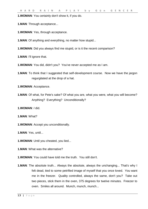**1.WOMAN**: You certainly don't show it, if you do.

**1.MAN**: Through acceptance...

**1.WOMAN**: Yes, through acceptance.

**1.MAN**: Of anything and everything, no matter how stupid...

**1.WOMAN**: Did you always find me stupid, or is it the recent comparison?

**1.MAN**: I'll ignore that.

**1.WOMAN**: You did, didn't you? You've never accepted me as I am.

**1.MAN:** To think that I suggested that self-development course. Now we have the jargon regurgitated at the drop of a hat.

**1.WOMAN**: Acceptance.

**1.MAN**: Of what, for Pete's sake? Of what you are, what you were, what you will become? Anything? Everything? Unconditionally?

**1.WOMAN**: *I* did.

**1.MAN**: What?

**1.WOMAN**: Accept you unconditionally.

**1.MAN**: Yes, until...

**1.WOMAN**: Until you cheated, you lied...

**1.MAN**: What was the alternative?

**1.WOMAN**: You could have told me the truth. You still don't.

**1.MAN**: The absolute truth... Always the absolute, always the unchanging... That's why I felt dead, tied to some petrified image of myself that you once loved. You want me in the freezer. Quality controlled, always the same, don't you? Take out two pieces, stick them in the oven, 375 degrees for twelve minutes. Freezer to oven. Smiles all around. Munch, munch, munch...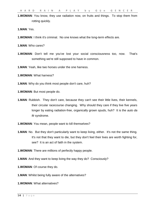**1.WOMAN**: You know, they use radiation now, on fruits and things. To stop them from rotting quickly.

**1.MAN**: Yes.

**1.WOMAN**: I think it's criminal. No one knows what the long-term effects are.

**1.MAN**: Who cares?

**1.WOMAN**: Don't tell me you've lost your social consciousness too, now. That's something we're still supposed to have in common.

**1.MAN**: Yeah, like two horses under the one harness.

**1.WOMAN**: What harness?

**1.MAN**: Why do you think most people don't care, huh?

**1.WOMAN**: But most people do.

- **1.MAN**: Rubbish. They don't care, because they can't see their little lives, their kennels, their circular racecourse changing. Why should they care if they live five years longer by eating radiation-free, organically grown spuds, huh? It is the *auto da fé* syndrome.
- **1.WOMAN**: You mean, people want to kill themselves?
- **1.MAN:** No. But they don't particularly want to keep living, either. It's not the same thing. It's not that they want to die, but they don't feel their lives are worth fighting for, see? It is an act of faith in the system.

**1.WOMAN**: There are millions of perfectly happy people.

**1.MAN**: And they want to keep living the way they do? Consciously?

**1.WOMAN**: Of course they do.

**1.MAN**: Whilst being fully aware of the alternatives?

**1.WOMAN**: What alternatives?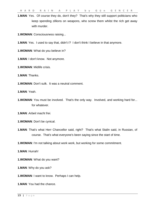**1.MAN:** Yes. Of course they do, don't they? That's why they still support politicians who keep spending zillions on weapons, who screw them whilst the rich get away with murder.

**1.WOMAN**: Consciousness raising...

- **1.MAN**: Yes. I used to say that, didn't I? I don't think I believe in that anymore.
- **1.WOMAN**: What do you believe in?
- **1.MAN**: I don't know. Not anymore.
- **1.WOMAN**: Midlife crisis.
- **1.MAN**: Thanks.
- **1.WOMAN**: Don't sulk. It was a neutral comment.
- **1.MAN**: Yeah.
- **1.WOMAN:** You must be involved. That's the only way. Involved, and working hard for... for whatever.
- **1.MAN**: *Arbeit macht frei.*
- **1.WOMAN**: Don't be cynical.
- **1.MAN**: That's what Herr Chancellor said, right? That's what Stalin said, in Russian, of course. That's what everyone's been saying since the start of time.
- **1.WOMAN**: I'm not talking about work work, but working for some commitment.
- **1.MAN**: Hurrah!
- **1.WOMAN**: What do you want?
- **1.MAN**: Why do you ask?
- **1.WOMAN**: I want to know. Perhaps I can help.

**1.MAN**: You had the chance.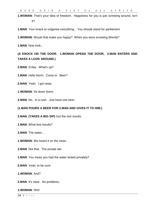**1.WOMAN**: That's your idea of freedom. Happiness for you is just screwing around, isn't it?

**1.MAN**: Your knack to vulgarise everything... You should stand for parliament.

**1.WOMAN**: Would that make you happy? When you were screwing Wendy?

**1.MAN**: Now look...

#### **(A KNOCK ON THE DOOR. 1.WOMAN OPENS THE DOOR. 2.MAN ENTERS AND TAKES A LOOK AROUND.)**

**2.MAN**: G'day. What's up?

**1.MAN**: Hello Norm. Come in. Beer?

**2.MAN**: Yeah. I got news.

**1.WOMAN**: Sit down Norm.

**2.MAN**: No. In a rush. Just have one beer.

#### **(1.MAN POURS A BEER FOR 2.MAN AND GIVES IT TO HIM.)**

**2.MAN**: **(TAKES A BIG SIP)** Got the test results.

**1.MAN**: What test results?

**2.MAN**: The water...

**1.WOMAN**: We heard it on the news.

**2.MAN**: Not that. The private lab.

**1.MAN**: You mean you had the water tested privately?

**2.MAN**: Yeah, to be sure.

**1.WOMAN**: And?

**2.MAN**: It's clear. No problems.

**1.WOMAN**: Shit!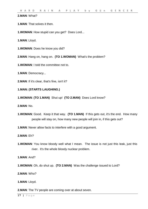#### **2.MAN**: What?

**1.MAN**: That solves it then.

**1.WOMAN**: How stupid can you get? Does Lord...

**1.MAN**: Lloyd.

**1.WOMAN**: Does he know you did?

**2.MAN**: Hang on, hang on. **(TO 1.WOMAN)** What's the problem?

**1.WOMAN**: I told the committee not to.

**1.MAN**: Democracy...

**2.MAN**: If it's clear, that's fine, isn't it?

#### **1.MAN: (STARTS LAUGHING.)**

**1.WOMAN**: **(TO 1.MAN)** Shut up! **(TO 2.MAN)** Does Lord know?

**2.MAN**: No.

**1.WOMAN**: Good. Keep it that way. **(TO 1.MAN)** If this gets out, it's the end. How many people will stay on, how many new people will join in, if this gets out?

**1.MAN**: Never allow facts to interfere with a good argument.

**2.MAN**: Eh?

**1.WOMAN**: You know bloody well what I mean. The issue is not just this leak, just this river. It's the whole bloody nuclear problem.

**1.MAN**: And?

**1.WOMAN**: Oh, do shut up. **(TO 2.MAN)** Was the challenge issued to Lord?

**2.MAN**: Who?

**1.MAN**: Lloyd.

**2.MAN**: The TV people are coming over at about seven.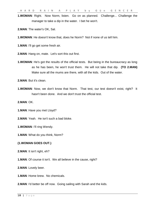**1.WOMAN**: Right. Now Norm, listen. Go on as planned. Challenge... Challenge the manager to take a dip in the water. I bet he won't.

**2.MAN**: The water's OK, Sal.

**1.WOMAN**: He doesn't know that, does he Norm? Not if none of us tell him.

**1.MAN**: I'll go get some fresh air.

**2.MAN**: Hang on, mate. Let's sort this out first.

**1.WOMAN:** He's got the results of the official tests. But being in the bureaucracy as long as he has been, he won't trust them. He will not take that dip. **(TO 2.MAN)** Make sure all the mums are there, with all the kids. Out of the water.

**2.MAN**: But it's clean.

**1.WOMAN**: Now, we don't know that Norm. That test, our test doesn't exist, right? It hasn't been done. And we don't trust the official test.

**2.MAN**: OK.

**1.MAN**: Have you met Lloyd?

**2.MAN**: Yeah. He isn't such a bad bloke.

**1.WOMAN**: I'll ring Wendy.

**1.MAN**: What do you think, Norm?

#### **(1.WOMAN GOES OUT.)**

**2.MAN**: It isn't right, eh?

**1.MAN**: Of course it isn't. We all believe in the cause, right?

**2.MAN**: Lovely beer.

**1.MAN**: Home brew. No chemicals.

**2.MAN**: I'd better be off now. Going sailing with Sarah and the kids.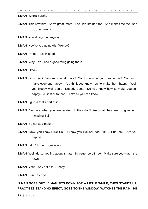**1.MAN**: Who's Sarah?

- **2.MAN**: This new bird. She's great, mate. The kids like her, too. She makes me feel, sort of, good inside.
- **1.MAN**: You always do, anyway.
- **2.MAN**: How're you going with Wendy?
- **1.MAN**: I'm not. It's finished.
- **2.MAN**: Why? You had a good thing going there.

**1.MAN**: I know.

- **2.MAN**: Why then? You know what, mate? You know what your problem is? You try to make everyone happy. You think you know how to make them happy. Well, you bloody well don't. Nobody does. Do you know how to make yourself happy? Just stick to that. That's all you can know.
- **1.MAN**: I guess that's part of it.
- **2.MAN**: You are what you are, mate. If they don't like what they see, bugger 'em. Including Sal.
- **1.MAN**: It's not as simple...
- **2.MAN:** Now, you know I like Sal. I know you like her, too. But... But, look. Are you happy?
- **1.MAN**: I don't know. I guess not.
- **2.MAN**: Well, do something about it mate. I'd better be off now. Make sure you watch the news.
- **1.MAN**: Yeah. Say hello to... Jenny.

**2.MAN**: Sure. See ya.

**(2.MAN GOES OUT. 1.MAN SITS DOWN FOR A LITTLE WHILE, THEN STANDS UP, PRACTISES STANDING ERECT, GOES TO THE WINDOW, WATCHES THE RAIN. HE**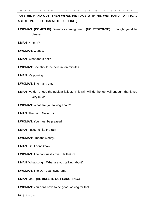#### **PUTS HIS HAND OUT, THEN WIPES HIS FACE WITH HIS WET HAND. A RITUAL ABLUTION. HE LOOKS AT THE CEILING.)**

- **1.WOMAN**: **(COMES IN)** Wendy's coming over. **(NO RESPONSE)** I thought you'd be pleased.
- **1.MAN**: Hmmm?
- **1.WOMAN**: Wendy.
- **1.MAN**: What about her?
- **1.WOMAN**: She should be here in ten minutes.
- **1.MAN**: It's pouring.
- **1.WOMAN**: She has a car.
- **1.MAN**: we don't need the nuclear fallout. This rain will do the job well enough, thank you very much.
- **1.WOMAN**: What are you talking about?
- **1.MAN**: The rain. Never mind.
- **1.WOMAN**: You must be pleased.
- **1.MAN**: I used to like the rain
- **1.WOMAN**: I meant Wendy.
- **1.MAN**: Oh, I don't know.
- **1.WOMAN**: The conquest's over. Is that it?
- **1.MAN**: What conq... What are you talking about?
- **1.WOMAN**: The Don Juan syndrome.

#### **1.MAN**: Me? **(HE BURSTS OUT LAUGHING.)**

**1.WOMAN**: You don't have to be good-looking for that.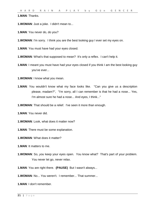**1.MAN**: Thanks.

**1.WOMAN**: Just a joke. I didn't mean to...

**1.MAN**: You never do, do you?

**1.WOMAN**: I'm sorry. I think you are the best looking guy I ever set my eyes on.

**1.MAN**: You must have had your eyes closed.

**1.WOMAN**: What's that supposed to mean? It's only a reflex. I can't help it.

**1.MAN**: I meant you must have had your eyes closed if you think I am the best looking guy you've ever...

**1.WOMAN**: I know what you mean.

- **1.MAN**: You wouldn't know what my face looks like. "Can you give us a description please, madam?", "I'm sorry, all I can remember is that he had a nose... Yes, I'm almost sure he had a nose... And eyes, I think..."
- **1.WOMAN**: That should be a relief. I've seen it more than enough.

**1.MAN**: You never did.

- **1.WOMAN**: Look, what does it matter now?
- **1.MAN**: There must be some explanation.
- **1.WOMAN**: What does it matter?

**1.MAN**: It matters to me.

- **1.WOMAN**: So, *you* keep your eyes open. You know what? That's part of your problem. You never let go, never relax.
- **1.MAN**: You are right there. **(PAUSE)** But I wasn't always...
- **1.WOMAN**: No... You weren't. I remember... That summer...

**1.MAN**: I don't remember.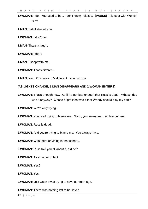**1.WOMAN**: I do. You used to be... I don't know, relaxed. **(PAUSE)** It is over with Wendy, is it?

**1.MAN**: Didn't she tell you.

- **1.WOMAN**: I don't pry.
- **1.MAN**: That's a laugh.
- **1.WOMAN**: I don't.
- **1.MAN**: Except with me.
- **1.WOMAN**: That's different.

**1.MAN**: Yes. Of course. It's different. You own me.

#### **(AS LIGHTS CHANGE, 1.MAN DISAPPEARS AND 2.WOMAN ENTERS)**

**2.WOMAN**: That's enough now. As if it's not bad enough that Russ is dead. Whose idea was it anyway? Whose bright idea was it that Wendy should play my part?

**1.WOMAN**: We're only trying...

**2.WOMAN**: You're all trying to blame me. Norm, you, everyone... All blaming me.

- **1.WOMAN**: Russ is dead.
- **2.WOMAN**: And you're trying to blame me. You always have.
- **1.WOMAN**: Was there anything in that scene...
- **2.WOMAN**: Russ told you all about it, did he?
- **1.WOMAN**: As a matter of fact...

**2.WOMAN**: Yes?

**1.WOMAN**: Yes.

**2.WOMAN**: Just when I was trying to save our marriage.

**1.WOMAN**: There was nothing left to be saved.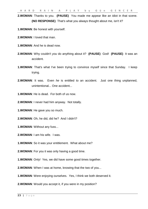**2.WOMAN**: Thanks to you. **(PAUSE)** You made me appear like an idiot in that scene. **(NO RESPONSE)** That's what you always thought about me, isn't it?

- **1.WOMAN**: Be honest with yourself.
- **2.WOMAN**: I loved that man.
- **1.WOMAN**: And he is dead now.
- **2.WOMAN**: Why couldn't *you* do anything about it? **(PAUSE)** God! **(PAUSE)** It was an accident.
- **1.WOMAN**: That's what I've been trying to convince myself since that Sunday. I keep trying.
- **2.WOMAN**: It was. Even *he* is entitled to an accident. Just one thing unplanned, unintentional... One accident...
- **1.WOMAN**: He is dead. For both of us now.
- **2.WOMAN**: I never had him anyway. Not totally.
- **1.WOMAN**: He gave you so much.
- **2.WOMAN**: Oh, he did, did he? And I didn't?
- **1.WOMAN**: Without any fuss...
- **2.WOMAN**: I am his wife. I was.
- **1.WOMAN**: So it was your entitlement. What about me?
- **2.WOMAN**: For you it was only having a good time.
- **1.WOMAN**: Only! Yes, we did have some good times together.
- **2.WOMAN**: When I was at home, knowing that the two of you...
- **1.WOMAN**: Were enjoying ourselves. Yes, I think we both deserved it.
- **2.WOMAN**: Would you accept it, if you were in my position?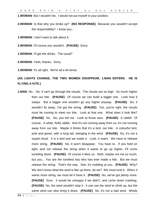**1.WOMAN**: But I wouldn't be. I would not put myself in your position.

**2.WOMAN**: Is that why you broke up? **(NO RESPONSE)** Because you wouldn't accept the responsibility? I know you...

**1.WOMAN**: I don't want to talk about it.

**2.WOMAN**: Of course you wouldn't. **(PAUSE)** Sorry.

**1.WOMAN**: I'll get the drinks. The usual?

**2.WOMAN**: Yeah, thanks. Sorry.

**1.WOMAN**: It's all right. We're all a bit tense.

#### **(AS LIGHTS CHANGE, THE TWO WOMEN DISAPPEAR, 1.MAN ENTERS. HE IS FLYING A KITE.)**

**1.MAN**: No... No, it can't go through the clouds. The clouds are so high. So much higher than our kite. **(PAUSE)** Of course we can build a bigger one. Look how it sways. But a bigger one wouldn't go any higher anyway. **(PAUSE)** No, it wouldn't fly away, I've got the string. **(PAUSE)** Yes, you're right, the clouds must be coming to meet our kite. Look at that one. What does it look like? **(PAUSE)** No. No, you tell me. Look at those ears. **(PAUSE)** A rabbit! Of course. A white, fluffy rabbit. And it's not running away from us, it's not running away from our kite. Maybe it thinks that it's a bird, our kite. A colourful bird, pink and green, with a long tail, swinging in the wind. **(PAUSE)** No, it's not a stupid cloud. It *is* a bird and we made it. Look, it soars. We have to release more string. **(PAUSE)** No, it won't disappear. You have to. If you hold on tight, and not release the string when it wants to go up higher, it'll come tumbling down. **(PAUSE)** Of course it likes us. Well, maybe not me so much, but you... You are the loveliest boy who has ever made a kite. But we must release the string. That's the way. See, it's nodding at you. **(PAUSE)** Why? We don't know what the wind is like up there, do we? We must trust it. When it wants more string, we must let it have it. **(PAUSE)** No, we've got plenty more. **(PAUSE)** Sure. It would be unhappy if we didn't', and come down crashing. **(PAUSE)** No, the wind wouldn't stop it. It can use the wind to climb up, but the same wind can also bring it down. **(PAUSE)** No, it's not a bad wind. Winds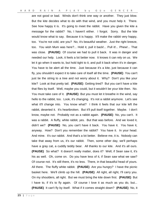are not good or bad. Winds don't think one way or another. They just blow. But the kite decides what to do with that wind, and you must help it. There. See how happy it is. It's going to meet the rabbit. Have you given the kite a message for the rabbit? No, I haven't either. I forgot. Sorry. But the kite would know what to say. Because it is happy. It'll make the rabbit very happy, too. You're not cold, are you? No, it's beautiful weather. Just the right breeze, too. You wish Mum was here?... Hold it, pull it back!... Pull it!... Phew!... That was close. **(PAUSE)** Of course we had to pull it back. It was in danger and needed our help. Look, it feels a lot better now. It knows it can rely on us. We let it go when it wants to, but hold tight to it, and pull it back when it's in danger. You have to be alert all the time. Just because it's a kite, just because it can fly, you shouldn't expect it to take care of itself all the time. **(PAUSE)** You can't just tie the string to a tree and not worry about it. Why? Don't you like your kite? Look at that pretty tail. **(PAUSE)** Getting tired? But you can't have a kite that flies by itself. Well, maybe you could, but it wouldn't be your kite then. No. You must take care of it. **(PAUSE)** But you must let it breathe in the wind, say hello to the rabbit, too. Look, it's changing. It's not a rabbit anymore. Let's see what it'll change into. You know what? I think it feels that our kite left the rabbit, deserted it. It's heartbroken. But it'll pull itself together. Maybe. I don't know, maybe not. Probably not as a rabbit again. **(PAUSE)** No, you can't. It was a rabbit. A fluffy, white rabbit, yes. But that was before. And we loved it, didn't we? **(PAUSE)** No, you can't have it back. You have it. You have it, anyway. How? Don't you remember the rabbit? You have it. In your head. And mine. It's our rabbit. And that's a lot better. Believe me, it is. Nobody can take that away from us, it's our rabbit. Then, some other day, we'll perhaps have a gray cat, a cuddly teddy bear. All thanks to our kite. And it's all ours. **(PAUSE)** So what? It doesn't really matter, does it? Well, if Sean saw it, it's his as well. Oh, come on. Do you have less of it, if Sean saw what we saw? Of course not. It's still there, it's no less. There, in that beautiful head of yours. All there. The fluffy white rabbit. **(PAUSE)** Are you hungry? I have the picnic basket here. We'll climb up the hill. **(PAUSE)** All right, all right, I'll carry you. On my shoulders, all right. But we must bring the kite down first. **(PAUSE)** But I have to, if it's to fly again. Of course I love it as much as you do, but... **(PAUSE)** It can't fly by itself. What if it comes straight down? **(PAUSE)** No, it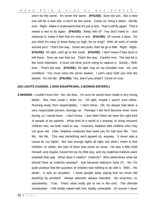won't be the same. It's never the same. **(PAUSE)** Sure we can. But a new one will be a new kite, it won't be the same. Come on, bring it down. Gently now. Right. Make it understand that it's just a rest. That it will fly again. That it needs a rest to fly again. **(PAUSE)** Sleep with it? You don't need to. Just reassure it, make it feel that it's only a rest. **(PAUSE)** Of course it does. Do you think it's easy to keep flying so high, for so long? With all sorts of winds around you? That's the way. Down two pulls, then let go a little. Right. Right. **(PAUSE)** All right, we'll go to the creek. **(PAUSE)** I don't know if that duck is still there. Sure we can find out. That's the way. Careful now. The last bit is the most important. It must not think you're trying to capture it. Gently... With love... That's the way. **(PAUSE)** All right, hop on my shoulder now. Ah, one condition! You must carry the picnic basket. I can't carry both you and the basket. It's not fair. **(PAUSE)** Yes, aren't you smart? Come on now.

#### **(AS LIGHTS CHANGE, 1.MAN DISAPPEARS, 2.WOMAN ENTERS.)**

**2.WOMAN:** I couldn't trust him. No, not that... I'm sure he would have made a very loving father. But, how could I, when he... All right, maybe I wasn't sure either. Running away from responsibility... I don't know. Oh, he always had been a very responsible person, boringly so. Perhaps I felt he'd become even more boring, or I would have... I don't know. I just didn't think we were the right kind of people to be parents. What kind of a world is it anyway, to bring innocent children into, we both used to say. Innocent, helpless little children who may not grow old. Little, helpless creatures that need you for half your life. Your life. My life. This was something we'd agreed on, anyway. It never was a cause for our fights. We had enough fights all right, but what I mean is that children, or rather, the lack of them was never an issue. He was a little child himself, and maybe I loved him as my little boy, and my maternal instincts were satisfied that way. What does it matter? Instincts? Who determines what we should have as instincts anyway? Just because baboons have it?... No, I'm quite positive that the question of children had nothing to do with it. With... His death... It was an accident. I know people keep saying that he never did anything by accident. Always planned, always intended. No surprises, no spontaneity. True. That's what really got to me in the end. The ultimate manipulator. I felt totally naked with him, totally vulnerable. Of course I never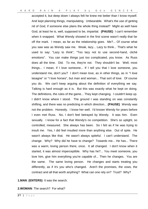accepted it, but deep down I always felt he knew me better than I know myself. And kept planning things, manipulating. Unbearable. What's the use of getting rid of God, if someone else plans the whole thing instead? Might as well have God, at least he is, well, supposed to be, impartial. **(PAUSE)** I can't remember when it snapped. What Wendy showed in the first scene wasn't really that far off the mark. I mean, as far as the relationship goes. Me?... Of course what you saw was as Wendy saw me. Weak, lazy... Lazy to think... That's what he used to say: "Lazy to think", "Too lazy not to use second-hand, cliché emotions". You can make things just too complicated, you know. As Russ does all the time. Did. To me, they're not. They shouldn't be. Well, most things... I mean, if I love someone... If I tell you that I love someone, you understand me, don't you? I don't mean love, as in other things, as in "I love lasagne" or "I love horses", but man and woman... That sort of love. Of course you do. We can't keep arguing about the definition of everything we say. Talking is hard enough as it is. But this was exactly what he kept on doing. The definitions, the rules of the game... They kept changing. I couldn't keep up. I didn't know where I stood. The ground I was standing on was constantly shifting, and there was no predicting in which direction... **(PAUSE)** Wendy was not the problem. Honestly. I know her well. I'd known Wendy for years before I even met Russ. No, I don't feel betrayed by Wendy. It was him. Even sexually. I know for a fact that Wendy's no competition. She's so uptight, so controlled, measured. She always has been. So I felt as if he was trying to insult me. Yes, I did feel insulted more than anything else. Out of spite. He wasn't always like that. He wasn't always spiteful. I can't understand. The change. Why? Why did he have to change? Towards me... He has... There was a warm, loving person there, once. It all changed. I don't know when it started, it was almost imperceptible. Why has he?... You meet someone, you love him, give him everything you're capable of... Then he changes. You are the same. The same loving person. He changes and starts treating you differently, as if it's you who's changed. Aren't the promises, the vows, the contract and all that worth anything? What can one rely on? Trust? Why?

**1.MAN**: **(ENTERS)** It was the search.

**2.WOMAN**: The search? For what?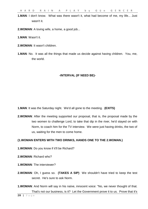**1.MAN**: I don't know. What was there wasn't it, what had become of me, my life... Just wasn't it.

**2.WOMAN**: A loving wife, a home, a good job...

**1.MAN**: Wasn't it.

- **2.WOMAN**: It wasn't children.
- **1.MAN**: No. It was all the things that made us decide against having children. You, me, the world.

#### **-INTERVAL (IF NEED BE)-**

**1.MAN**: It was the Saturday night. We'd all gone to the meeting. **(EXITS)**

**2.WOMAN**: After the meeting supported our proposal, that is, the proposal made by the two women to challenge Lord, to take that dip in the river, he'd stayed on with Norm, to coach him for the TV interview. We were just having drinks, the two of us, waiting for the men to come home.

#### **(1.WOMAN ENTERS WITH TWO DRINKS, HANDS ONE TO THE 2.WOMAN.)**

- **1.WOMAN**: Do you know if it'll be Richard?
- **2.WOMAN**: Richard who?
- **1.WOMAN**: The interviewer?
- **2.WOMAN**: Oh, I guess so. **(TAKES A SIP)** We shouldn't have tried to keep the test secret. He's sure to ask Norm.
- **1.WOMAN**: And Norm will say in his naïve, innocent voice: "No, we never thought of that. That's not our business, is it? Let the Government prove it to us. Prove that it's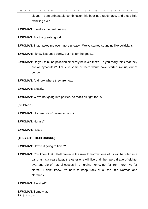clean." It's an unbeatable combination, his beer-gut, ruddy face, and those little twinkling eyes...

**2.WOMAN**: It makes me feel uneasy.

- **1.WOMAN**: For the greater good...
- **2.WOMAN**: That makes me even more uneasy. We've started sounding like politicians.
- **1.WOMAN**: I know it sounds corny, but it *is* for the good...
- **2.WOMAN:** Do you think no politician sincerely believes that? Do you really think that they are all hypocrites? I'm sure some of them would have started like us, out of concern...
- **1.WOMAN**: And look where they are now.
- **2.WOMAN**: Exactly.
- **1. WOMAN:** We're not going into politics, so that's all right for us.

**(SILENCE)**

**2.WOMAN**: His heart didn't seem to be in it.

**1.WOMAN**: Norm's?

**2.WOMAN**: Russ's.

#### **(THEY SIP THEIR DRINKS)**

**2.WOMAN**: How is it going to finish?

**1.WOMAN**: You know that. He'll drown in the river tomorrow, one of us will be killed in a car crash six years later, the other one will live until the ripe old age of eightytwo, and die of natural causes in a nursing home, not far from here. As for Norm... I don't know, it's hard to keep track of all the little Normas and Normans...

#### **2.WOMAN**: Finished?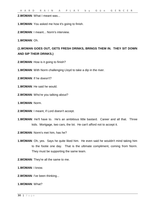**2.WOMAN**: What I meant was...

**1.WOMAN**: You asked me how it's going to finish.

**2.WOMAN**: I meant... Norm's interview.

**1.WOMAN**: Oh.

**(1.WOMAN GOES OUT, GETS FRESH DRINKS, BRINGS THEM IN. THEY SIT DOWN AND SIP THEIR DRINKS.)**

- **2.WOMAN**: How is it going to finish?
- **1.WOMAN**: With Norm challenging Lloyd to take a dip in the river.
- **2.WOMAN**: If he doesn't?
- **1.WOMAN**: He said he would.
- **2.WOMAN**: Who're you talking about?
- **1.WOMAN**: Norm.
- **2.WOMAN**: I meant, if Lord doesn't accept.
- **1.WOMAN**: He'll have to. He's an ambitious little bastard. Career and all that. Three kids. Mortgage, two cars, the lot. He can't afford not to accept it.
- **2.WOMAN**: Norm's met him, has he?
- **1.WOMAN**: Oh, yes. Says he quite liked him. He even said he wouldn't mind taking him to the footie one day. That is the ultimate compliment, coming from Norm. They must be supporting the same team.
- **2.WOMAN**: They're all the same to me.
- **1.WOMAN**: I know.
- **2.WOMAN**: I've been thinking...
- **1.WOMAN**: What?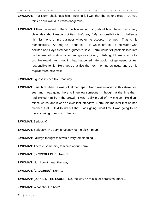- **2.WOMAN**: That Norm challenges him, knowing full well that the water's clean. Do you think he still would, if it was dangerous?
- **1.WOMAN:** I think he would. That's the fascinating thing about him. Norm has a very clear idea about responsibilities. He'd say, "My responsibility is to challenge him, it's none of my business whether he accepts it or not. That is his responsibility. As long as I don't lie." He would not lie. If the water was polluted and Lloyd died, for argument's sake, Norm would still pack his kids into his battered old station wagon and go for a picnic, or fishing, if there is no footie on. He would. As if nothing had happened. He would not get upset, or feel responsible for it. He'd get up at five the next morning as usual and do his regular three mile swim.
- **2.WOMAN**: I guess it's healthier that way.
- **1.WOMAN**: I met him when he was still at the paper. Norm was involved in this strike, you see, and I was going there to interview someone. I thought at the time that I had picked him from the crowd. I was really proud of my choice. He didn't mince words, and it was an excellent interview. Norm told me later that he had planned it all. He'd found out that I was going, what time I was going to be there, coming from which direction...
- **2.WOMAN**: Seriously?
- **1.WOMAN**: Seriously. He very innocently let me pick him up.
- **2.WOMAN**: I always thought this was a very female thing.
- **1.WOMAN**: There *is* something feminine about Norm.

#### **2.WOMAN**: **(INCREDULOUS)** Norm?

- **1.WOMAN**: No. I don't mean that way.
- **2.WOMAN**: **(LAUGHING)** Norm...
- **1.WOMAN**: **(JOINS IN THE LAUGH)** No, the way he thinks, or perceives rather...

#### **2.WOMAN**: What about in bed?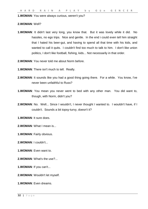**1.WOMAN**: You were always curious, weren't you?

#### **2.WOMAN**: Well?

- **1.WOMAN**: It didn't last very long, you know that. But it was lovely while it did. No hassles, no ego trips. Nice and gentle. In the end i could even tell him straight that I hated his beer-gut, and having to spend all that time with his kids, and wanted to call it quits. I couldn't find too much to talk to him. I don't like union politics, I don't like football, fishing, kids... Not necessarily in that order.
- **2.WOMAN**: You never told me about Norm before.
- **1.WOMAN**: There isn't much to tell. Really.
- **2.WOMAN:** It sounds like you had a good thing going there. For a while. You know, I've never been unfaithful to Russ?
- **1.WOMAN**: You mean you never went to bed with any other man. You did want to, though, with Norm, didn't you?
- **2.WOMAN**: No. Well... Since I wouldn't, I never thought I wanted to. I wouldn't have, if I couldn't. Sounds a bit topsy-turvy, doesn't it?

**1.WOMAN**: It sure does.

- **2.WOMAN**: What I mean is...
- **1.WOMAN**: Fairly obvious.
- **2.WOMAN**: I couldn't...
- **1.WOMAN**: Even want to.
- **2.WOMAN**: What's the use?...
- **1.WOMAN**: If you can't...
- **2.WOMAN**: Wouldn't let myself.
- **1.WOMAN**: Even dreams.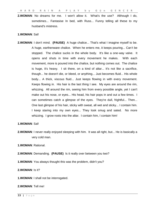**2.WOMAN**: No dreams for me. I won't allow it. What's the use? Although I do, sometimes... Fantasise In bed, with Russ... Funny telling all these to my husband's mistress.

#### **1.WOMAN**: Sal!

**2.WOMAN**: I don't mind. **(PAUSE)** A huge chalice... That's what I imagine myself to be. A huge, earthenware chalice. When he enters me, it keeps pouring... Can't be stopped. The chalice sucks in the whole body. It's like a one-way valve. It opens and shuts in time with every movement he makes. With each movement, more is poured into the chalice, but nothing comes out. The chalice is huge, it's heavy. I sit there, on a kind of altar... It's not like a sacrifice, though... he doesn't die, or bleed, or anything... Just becomes fluid... His whole body... A thick, viscous fluid... Just keeps flowing in with every movement. Keeps flowing in. His hair is the last thing I see. My eyes are around the rim, whizzing. All around the rim, seeing him from every possible angle, yet I can't make out his nose, or eyes... His head, his hair pops in and out a few times. I can sometimes catch a glimpse of the eyes. They're dull, frightful... Then... One last glimpse of his hair, sticky with sweat, all wet and sticky... I contain him. I keep staring into my own eyes... They look smug and sated. No more whizzing. I grow roots into the altar. I contain him, I contain him!

#### **1.WOMAN**: Sal!

**2.WOMAN**: I never really enjoyed sleeping with him. It was all right, but... He is basically a very cold man.

**1.WOMAN**: Rational.

- **2.WOMAN**: Demanding. **(PAUSE)** Is it really over between you two?
- **1.WOMAN**: You always thought this was the problem, didn't you?

#### **2.WOMAN**: Is it?

**1.WOMAN**: I shall not be interrogated.

#### **2.WOMAN**: Tell me!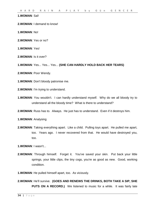#### **1.WOMAN**: Sal!

**2.WOMAN**: I demand to know!

**1.WOMAN**: No!

**2.WOMAN**: Yes or no?

**1.WOMAN**: Yes!

**2.WOMAN**: Is it over?

**1.WOMAN**: Yes... Yes... Yes... **(SHE CAN HARDLY HOLD BACK HER TEARS)**

**2.WOMAN**: Poor Wendy.

**1.WOMAN**: Don't bloody patronise me.

**2.WOMAN**: I'm trying to understand.

**1.WOMAN**: You wouldn't. I can hardly understand myself. Why do we all bloody try to understand all the bloody time? What is there to understand?

**2.WOMAN**: Russ has to. Always. He just has to understand. Even if it destroys him.

**1.WOMAN**: Analysing

**2.WOMAN**: Taking everything apart. Like a child. Pulling toys apart. He pulled me apart, too. Years ago. I never recovered from that. He would have destroyed you, too.

**1.WOMAN**: I wasn't...

**2.WOMAN**: Through himself. Forget it. You've saved your skin. Put back your little springs, your little clips, the tiny cogs, you're as good as new. Good, working condition.

**1.WOMAN**: He pulled himself apart, too. As viciously.

**2.WOMAN**: He'll survive. **(GOES AND RENEWS THE DRINKS, BOTH TAKE A SIP, SHE PUTS ON A RECORD.)** We listened to music for a while. It was fairly late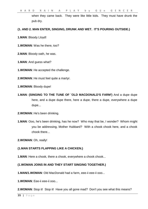when they came back. They were like little kids. They must have drunk the pub dry.

#### **(1. AND 2. MAN ENTER, SINGING, DRUNK AND WET. IT'S POURING OUTSIDE.)**

- **1.MAN**: Bloody Lloyd!
- **1.WOMAN**: Was he there, too?
- **2.MAN**: Bloody oath, he was.
- **1.MAN**: And guess what?
- **1.WOMAN**: He accepted the challenge.
- **2.WOMAN**: He must feel quite a martyr.
- **1.WOMAN**: Bloody dupe!
- **1.MAN**: **(SINGING TO THE TUNE OF `OLD MACDONALD'S FARM')** And a dupe dupe here, and a dupe dupe there, here a dupe, there a dupe, everywhere a dupe dupe...
- **2.WOMAN**: He's been drinking.
- **1.MAN**: Ooo, he's been drinking, has he now? Who may that be, I wonder? Whom might you be addressing, Mother Hubbard? With a chook chook here, and a chook chook there...
- **2.WOMAN**: Oh, really!

#### **(1.MAN STARTS FLAPPING LIKE A CHICKEN.)**

**1.MAN**: Here a chook, there a chook, everywhere a chook chook...

#### **(1.WOMAN JOINS IN AND THEY START SINGING TOGETHER.)**

- **1.MAN/1.WOMAN**: Old MacDonald had a farm, eee-ii eee-ii ooo...
- **1.WOMAN**: Eee-ii eee-ii ooo...
- **2.WOMAN:** Stop it! Stop it! Have you all gone mad? Don't you see what this means?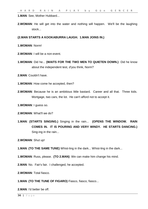**1.MAN**: See, Mother Hubbard...

**2.WOMAN**: He will get into the water and nothing will happen. We'll be the laughing stock...

#### **(2.MAN STARTS A KOOKABURRA LAUGH. 1.MAN JOINS IN.)**

- **1.WOMAN**: Norm!
- **2.WOMAN**: I will be a non-event.
- **1.WOMAN**: Did he... **(WAITS FOR THE TWO MEN TO QUIETEN DOWN.)** Did he know about the independent test, d'you think, Norm?
- **2.MAN**: Couldn't have.
- **1.WOMAN**: How come he accepted, then?
- **2.WOMAN**: Because he is an ambitious little bastard. Career and all that. Three kids. Mortgage, two cars, the lot. He can't afford not to accept it.
- **1.WOMAN**: I guess so.
- **2.WOMAN**: What'll we do?
- **1.MAN**: **(STARTS SINGING.)** Singing in the rain... **(OPENS THE WINDOW. RAIN COMES IN. IT IS POURING AND VERY WINDY. HE STARTS DANCING.)** Sing-ing in the rain...

**2.WOMAN**: Shut up!

- **1.MAN**: **(TO THE SAME TUNE)** Whist-ling in the dark... Whist-ling in the dark...
- **1.WOMAN**: Russ, please. **(TO 2.MAN)** We can make him change his mind.
- **2.MAN**: No. Fair's fair. I challenged, he accepted.
- **2.WOMAN**: Total fiasco.
- **1.MAN**: **(TO THE TUNE OF FIGARO)** Fiasco, fiasco, fiasco...
- **2.MAN**: I'd better be off.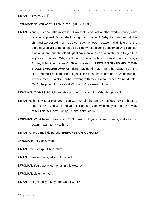**1.MAN**: I'll give you a lift.

**2.WOMAN**: No, you won't. I'll call a cab. **(GOES OUT.)**

**1.MAN**: Wendy, my dear little mistress... Now that we've lost another worthy cause, what do you propose? What shall we fight for now, eh? Why don't we drop all this shit until we get old? What do you say, my love? Leave it all till later. All the good causes are to be taken up by elderly respectable gentlemen who can't get it up anymore, and the elderly gentlewomen who don't want the men to get it up anymore. Decree. Why don't we just go on with or business... of... of living? Eh, my little, little mistress? Give us a kiss... **(1.WOMAN SLAPS HIM, 2.MAN TAKES 1.WOMAN AWAY.)** Right... My good mate. Take her away. I get the slap, she must be comforted. I get kicked in the balls, her toes must be nursed. Twinkle toes... Twinkle... What's wrong with me? I mean, when I'm not drunk... Can't I be pitied, for pity's sake? Pity... Pity's sake... Joke!

**2.WOMAN**: **(COMES IN)** It'll probably be ages. In this rain. What happened?

- **1.MAN:** Nothing, Mother Hubbard. You want to join the game? It's let's kick the bastard time. Oh no, you would do your kicking in private, wouldn't you? In the privacy of our little love nest. Chirp... Chirp, chirp, chirp...
- **2.WOMAN**: What have I done to you? Sit down, will you? Norm, Wendy, make him sit down. I want to talk to him.
- **1.MAN**: Where's my little perch? **(PERCHES ON A CHAIR.)**
- **2.WOMAN**: For God's sake!
- **1.MAN**: Chirp, chirp... Chirp, chirp...
- **2.MAN**: Come on mate, let's go for a walk.
- **1.WOMAN**: You'd get pneumonia, in this weather...
- **2.WOMAN**: Listen to me!
- **1.MAN**: Do I get a say? May I tell what I want?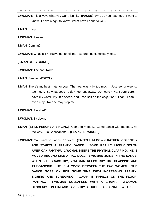**2.WOMAN**: It is always what *you* want, isn't it? **(PAUSE)** Why do you hate me? I want to know. I have a right to know. What have I done to you?

**1.MAN**: Chirp...

**1.WOMAN**: Please...

**2.MAN**: Coming?

**2.WOMAN:** What is it? You've got to tell me. Before I go completely mad.

#### **(2.MAN GETS GOING.)**

**2.WOMAN**: The cab, Norm.

**2.MAN**: See ya. **(EXITS.)**

- **1.MAN**: There's my best mate for you. The heat was a bit too much. Just teensy weensy too much. So what does he do? He runs away. Do I care? No, I don't care. I have my water, my little seeds, and I can shit on the cage floor. I can. I can. I even may. No one may stop me.
- **1.WOMAN**: Finished?

**2.WOMAN**: Sit down.

- **1.MAN**: **(STILL PERCHED, SINGING)** Come to meeee... Come dance with meeee... All the way... To Copacabana... **(FLAPS HIS WINGS.)**
- **2.WOMAN**: You want to dance, do you? **(TAKES HIM DOWN RATHER VIOLENTLY AND STARTS A FRANTIC DANCE. SOME REALLY LIVELY SOUTH AMERICAN RHYTHM. 1.WOMAN KEEPS THE RHYTHM, CLAPPING. HE IS MOVED AROUND LIKE A RAG DOLL. 1.WOMAN JOINS IN THE DANCE. WHEN SHE GRABS HIM, 2.WOMAN KEEPS RHYTHM, CLAPPING AND TAP-DANCING. HE IS A YO-YO BETWEEN THE TWO WOMEN. THE DANCE GOES ON FOR SOME TIME WITH INCREASING FRENZY. SIGHING AND SCREAMING. 1.MAN IS FINALLY ON THE FLOOR, PANTING. 1.WOMAN COLLAPSES WITH A CRAMP. 2.WOMAN DESCENDS ON HIM AND GIVES HIM A HUGE, PASSIONATE, WET KISS.**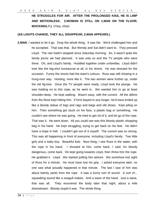**HE STRUGGLES FOR AIR. AFTER THE PROLONGED KISS, HE IS LIMP AND MOTIONLESS. 2.WOMAN IS STILL ON 1.MAN ON THE FLOOR. MOCKINGLY.)** Chirp, chirp!

#### **(AS LIGHTS CHANGE, THEY ALL DISAPPEAR, 2.MAN APPEARS.)**

**2.MAN**: I wanted to let it go. Drop the whole thing. It was fair. We'd challenged him and he accepted. That was that. But Wendy and Sal didn't want to. They pressed Lloyd. The rain hadn't stopped since Saturday morning. So, it wasn't quite the family picnic we had planned. It was only us and the TV people who were there. Oh, and Lloyd's family. Huddled together under umbrellas. Lloyd didn't look like the big-shot bureaucrat at all, in his shorts. He was dressed for the occasion. Funny the shorts had the team's colours. Russ was still chirping in a hung-over way. Hooting, more like it. The two women were further up, under the old fig-tree. Once the TV people were ready, Lloyd took the plunge. He was holding on to this rope, as he went in. We wanted him to go at least shoulder-deep. He kept walking. Wasn't easy, with the current. All the débris from the flood kept hitting him. If he'd stayed in any longer, he'd have ended up like a bloody statue of logs and rags and twigs and old shoes. Kept piling on him. Then something got stuck on his face, a plastic bag or something. He couldn't see where he was going. He tried to get rid of it, and let go of the rope. That was it. He went down. All you could see was this bloody plastic shopping bag in his hand. He kept struggling, trying to get back on his feet. He didn't have a hope in hell. I couldn't get out of it myself. The current was so strong. This was all happening in front of everyone, including Lloyd's family. Two little girls and a baby boy. Beautiful kids. Next thing, I see Russ in the water, with the rope in his hand. I shouted at him, come back, I said, it's bloody dangerous, come back. He kept going towards Lloyd, then threw him the rope. He grabbed it. Lloyd. We started pulling him ashore. We somehow lost sight of Russ for a minute. He must have lost his grip. I asked everyone later, no one saw what actually happened in that minute. The last I saw of him was about twenty yards from the rope. It was a funny sort of sound. A sort of... squawking sound like a seagull makes. And a wave of the hand. Just a wave, that was all. They recovered the body later that night, about a mile downstream. Bloody stupid it was. The whole thing.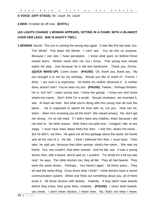#### **A VOICE: (OFF STAGE)** Mr. Lloyd! Mr. Lloyd!

**2.MAN**: I'd better be off now. **(EXITS.)**

#### **(AS LIGHTS CHANGE 1.WOMAN APPEARS, SITTING IN A CHAIR, WITH A BLANKET OVER HER LEGS. SHE IS EIGHTY-TWO.)**

**1.WOMAN**: Nurse! The sun is coming the wrong way again. It was like this last year, too. The blinds! Pull down the blinds! I can't see. You do this on purpose. Because I can see, I have perception. I know what goes on behind those closed doors. Mother never tells me, but I know. That young man should watch his step. Just because he is tall and handsome... Thank you, Doctor. **(QUICK MAKE-UP)** Come closer. **(PAUSE)** Oh, thank you, thank you. My son brought it to me for my birthday. Would you like to smell it? French, I think. I am sure it is expensive. He thinks his mother deserves it. A mother does, doesn't she? You've seen my son. **(PAUSE)** Twelve... Perhaps thirteen. He is, isn't he? Listen young man, I know the gossip. I know you and nurse what's-her-name... Don't think I'm a prude. Sexual revolution, we invented it, see. At least we tried. But what you're doing with this young man all over the place... He is supposed to spend his time with us, not you. How can he, when... when he's screwing you all the time? We valued privacy. No, don't get me wrong. I'm no old maid. If I didn't have any children, that's because I did not wish to. No other reason. Well, that's not quite true. I imagine I did, at one stage. I must have been about thirty-five then. I told him, what's-his-name... But he didn't, not then. He gave me all this garbage about the world, the bomb and all the rest of it. He did. I think I believed him then, I must have. Then later, he said yes, because that other woman, what's-her-name... She was my friend. Yes, she couldn't, that other woman. And he did, see. It was a young doctor then, with a beard, who'd said no, I couldn't. "I'm afraid it's a bit too late now", he says. The other doctors too, they all did. They all had beards. They were the same doctor... Perhaps... You haven't aged... All these years... They all said the same thing. D'you know what I think? I think doctors have a secret communication system. When one finds out something about you, all of them know it. All those doctors with beards. Instantly. If they didn't have beards before they knew, they grow them, instantly. **(PAUSE)** I never liked beards, you know. I don't mean doctors, I mean men. No, that's not what I mean.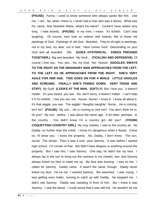**(PAUSE)** Funny, I used to know someone who always spoke like this. Like me. I am. No, what I mean is, I never had a man who was a doctor. What was his name, that bearded fellow, what's-his-name? Couldn't have lasted very long. I hate beards. **(PAUSE)** In my men, I mean. It's ticklish. Can't stop laughing. Of course, men look so solemn with beards, like in those old paintings of God. Paintings of old God. Bearded. They're all right in paintings, not in my bed, my dear, not in bed. Here comes God! Descending on you! God and all bearded. Old. **(GOES HYSTERICAL. KNEES PRESSED TOGETHER.)** Big and bearded. My God!... **(TICKLISH AND DEFENSIVE)** Of course I love you. Yes, yes... No, my God. No! Noooo! **(GIGGLES. SWAYS TO THE RIGHT AS THE IMAGINARY MAN APPROACHES FROM THE LEFT, TO THE LEFT AS HE APPROACHES FROM THE RIGHT. SHE'S VERY AGILE FOR HER AGE. THIS GOES ON FOR A WHILE. LITTLE GIGGLES AND SCREAMS. FINALLY SHE'S PINNED DOWN. VERY TENSE AND STIFF)** My God! **(LOOKS AT THE MAN. SOFTLY)** But I love you. It doesn't matter. It's your beard, you see. No, don't worry, it doesn't matter. I can't help it if I'm ticklish. I bet you are, too. Nurse! Nurse! I know it. I know all about it. It's that wiggle, you see. The wiggle! Naughty naughty! Nurse... He is coming, isn't he? **(PAUSE)** My son... He is coming to visit me? You don't think he is, do you? My son. twelve. I was about the same age. A bit older, perhaps. In the country. You didn't know I'm a country girl, did you? **(YOUNG COQUETTISH COUNTRY GIRL)** My rosy cheeks, I owe to the country air. No Daddy, no further than the creek. I know it's dangerous when it floods. Come on, I'll show you. I know the property. No, Daddy, I don't know. The sun, nurse! The blinds! Then it was ll over, poor Sammy. It was before I started high school. I'm certain of that. We didn't have dingoes or anything around the property. But I saw him, I saw Sammy. One day, he didn't lick my face. I always lay in the sun to bring out the rosiness in my cheeks, see, and Sammy always licked my face to wake me up. My face was burning. I was so hot. I called for Sammy. Daddy came. It wasn't the same, though. Daddy never licked my face. Ha ha ha! I wanted Sammy. We searched. I was crying. I was getting even hotter, running to catch up with Daddy. He stopped me. I didn't see Sammy. Daddy was standing in front of him. But I knew it was Sammy. I saw the blood. I could sense that it was still hot. He wouldn't let me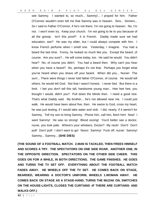see Sammy. I wanted to, so much... Sammy!... I prayed for him. Father O'Connor wouldn't even tell me that Sammy was in heaven. Sins... Sinners... So I said to Father O'Connor, if he's not there, I'm not going to heaven. No, I'm not. I won't even try. Keep your church. I'm not going to lie to you because of all the gossip. Isn't this proof? It is French. Daddy made sure we had education, see? He was my elder, but I could always compete with him. I know French perfume when I smell one. Yesterday, I imagine. You had a beard the last time. Funny, he looked so much like you. Except the beard, of course. Are you sure?... He will come today, too. He said he would. You didn't hear? No, of course you didn't. You had a beard then. Why can't you hear when you have a beard? No, perhaps it's not that. Perhaps you forget what you've heard when you shave off your beard. When did you... Nurse! The sun!... There were things I never told father O'Connor, of course. He would tell others, he would tell God. Not that I wasn't honest. I never lied. But there is a limit. I bet you don't tell this tall, handsome young man... Hee hee hee, you thought I would, didn't you? Pull down the blinds then. I need a good rest. That's what Daddy said. My brother... he's not allowed near me. I could just walk. He would have been about five, then. He swore to God, cross my heart, he was just testing, if I would take water and sink. I did, nearly, if it weren't for Sammy. Tell my son to bring Sammy. Phone him, call him, fetch him! Now! I want Sammy! He was so strong! Blood oozing! You'd better see a doctor, nurse, you look pale. Where's your whiskers, Doctor? My neck! Don't! Don't pull! Don't pull! I don't want to go! Nooo! Sammy! Fuck off, nurse! Sammy! Sammy... Sammy... **(SHE DIES)**

**(THE SOUND OF A FOOTBALL MATCH. 2.MAN IS TACKLED, THEN FREES HIMSELF AND SCORES A TRY. THE SPECTATORS ON ONE SIDE ROAR. ANOTHER ONE, IN THE OPPOSITE DIRECTION. SPECTATORS ON THE OTHER SIDE CHEER. THIS GOES ON FOR A WHILE, IN BOTH DIRECTIONS. THE GAME FINISHES. HE GOES AND TURNS THE TV SET OFF. EVERYTHING ABOUT THE FOOTBALL MATCH FADES AWAY. HE WHEELS OFF THE TV SET. HE COMES BACK ON STAGE, BEARDED, WEARING A DOCTOR'S UNIFORM, WHEELS 1.WOMAN AWAY. HE COMES BACK ON STAGE AS A STAGE-HAND, TURNS THE MUZAK ON, SWITCHES ON THE HOUSE-LIGHTS, CLOSES THE CURTAINS -IF THERE ARE CURTAINS- AND WALKS OFF.)**